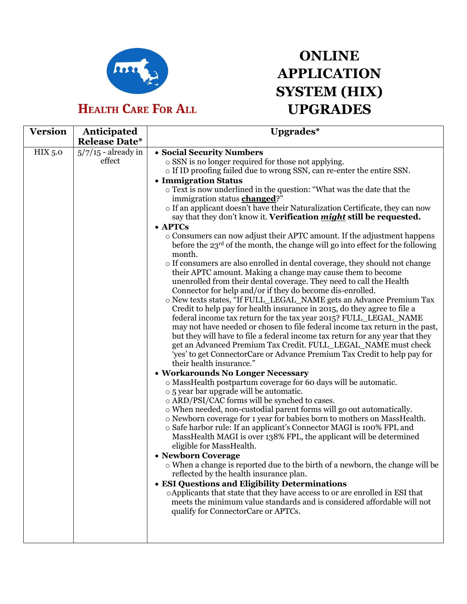

## **HEALTH CARE FOR ALL**

## **ONLINE APPLICATION SYSTEM (HIX) UPGRADES**

| <b>Version</b> | Anticipated<br><b>Release Date*</b> | Upgrades*                                                                                                                                                                                                                                                                                                                                                                                                                                                                                                                                                                                                                                                                                                                                                                                                                                                                                                                                                                                                                                                                                                                                                                                                                                                                                                                                                                                                                                                                                                                                                                                                                                                                                                                                                                                                                                                                                                                                                                                                                                                                                                                                                                                                                                                                                                                                                                                                                                            |
|----------------|-------------------------------------|------------------------------------------------------------------------------------------------------------------------------------------------------------------------------------------------------------------------------------------------------------------------------------------------------------------------------------------------------------------------------------------------------------------------------------------------------------------------------------------------------------------------------------------------------------------------------------------------------------------------------------------------------------------------------------------------------------------------------------------------------------------------------------------------------------------------------------------------------------------------------------------------------------------------------------------------------------------------------------------------------------------------------------------------------------------------------------------------------------------------------------------------------------------------------------------------------------------------------------------------------------------------------------------------------------------------------------------------------------------------------------------------------------------------------------------------------------------------------------------------------------------------------------------------------------------------------------------------------------------------------------------------------------------------------------------------------------------------------------------------------------------------------------------------------------------------------------------------------------------------------------------------------------------------------------------------------------------------------------------------------------------------------------------------------------------------------------------------------------------------------------------------------------------------------------------------------------------------------------------------------------------------------------------------------------------------------------------------------------------------------------------------------------------------------------------------------|
| HIX 5.0        | $5/7/15$ - already in<br>effect     | • Social Security Numbers<br>o SSN is no longer required for those not applying.<br>o If ID proofing failed due to wrong SSN, can re-enter the entire SSN.<br>• Immigration Status<br>o Text is now underlined in the question: "What was the date that the<br>immigration status <b>changed</b> ?"<br>o If an applicant doesn't have their Naturalization Certificate, they can now<br>say that they don't know it. Verification <i>might</i> still be requested.<br>• APTCs<br>o Consumers can now adjust their APTC amount. If the adjustment happens<br>before the $23^{rd}$ of the month, the change will go into effect for the following<br>month.<br>o If consumers are also enrolled in dental coverage, they should not change<br>their APTC amount. Making a change may cause them to become<br>unenrolled from their dental coverage. They need to call the Health<br>Connector for help and/or if they do become dis-enrolled.<br>o New texts states, "If FULL_LEGAL_NAME gets an Advance Premium Tax<br>Credit to help pay for health insurance in 2015, do they agree to file a<br>federal income tax return for the tax year 2015? FULL_LEGAL_NAME<br>may not have needed or chosen to file federal income tax return in the past,<br>but they will have to file a federal income tax return for any year that they<br>get an Advanced Premium Tax Credit. FULL_LEGAL_NAME must check<br>'yes' to get ConnectorCare or Advance Premium Tax Credit to help pay for<br>their health insurance."<br>· Workarounds No Longer Necessary<br>o MassHealth postpartum coverage for 60 days will be automatic.<br>o 5 year bar upgrade will be automatic.<br>o ARD/PSI/CAC forms will be synched to cases.<br>o When needed, non-custodial parent forms will go out automatically.<br>o Newborn coverage for 1 year for babies born to mothers on MassHealth.<br>o Safe harbor rule: If an applicant's Connector MAGI is 100% FPL and<br>MassHealth MAGI is over 138% FPL, the applicant will be determined<br>eligible for MassHealth.<br>• Newborn Coverage<br>o When a change is reported due to the birth of a newborn, the change will be<br>reflected by the health insurance plan.<br>• ESI Questions and Eligibility Determinations<br>o Applicants that state that they have access to or are enrolled in ESI that<br>meets the minimum value standards and is considered affordable will not<br>qualify for ConnectorCare or APTCs. |
|                |                                     |                                                                                                                                                                                                                                                                                                                                                                                                                                                                                                                                                                                                                                                                                                                                                                                                                                                                                                                                                                                                                                                                                                                                                                                                                                                                                                                                                                                                                                                                                                                                                                                                                                                                                                                                                                                                                                                                                                                                                                                                                                                                                                                                                                                                                                                                                                                                                                                                                                                      |
|                |                                     |                                                                                                                                                                                                                                                                                                                                                                                                                                                                                                                                                                                                                                                                                                                                                                                                                                                                                                                                                                                                                                                                                                                                                                                                                                                                                                                                                                                                                                                                                                                                                                                                                                                                                                                                                                                                                                                                                                                                                                                                                                                                                                                                                                                                                                                                                                                                                                                                                                                      |